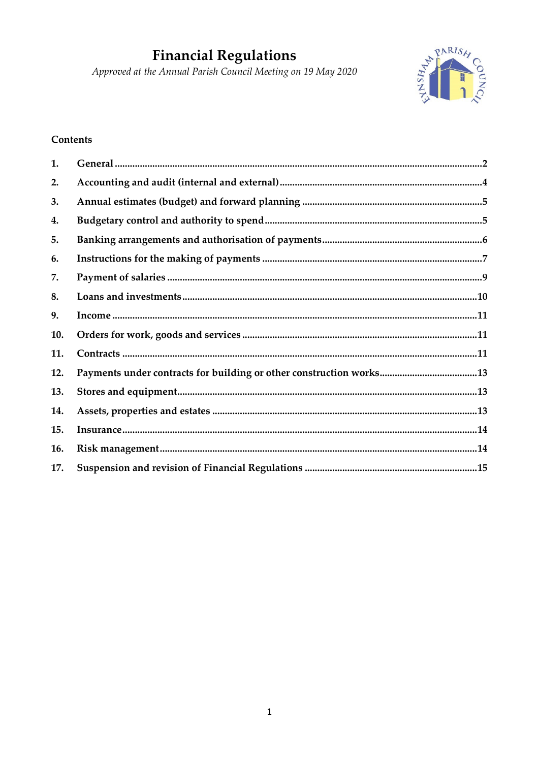# **Financial Regulations**

Approved at the Annual Parish Council Meeting on 19 May 2020



## **Contents**

| 1.  |                                                                     |  |
|-----|---------------------------------------------------------------------|--|
| 2.  |                                                                     |  |
| 3.  |                                                                     |  |
| 4.  |                                                                     |  |
| 5.  |                                                                     |  |
| 6.  |                                                                     |  |
| 7.  |                                                                     |  |
| 8.  |                                                                     |  |
| 9.  |                                                                     |  |
| 10. |                                                                     |  |
| 11. |                                                                     |  |
| 12. | Payments under contracts for building or other construction works13 |  |
| 13. |                                                                     |  |
| 14. |                                                                     |  |
| 15. |                                                                     |  |
| 16. |                                                                     |  |
| 17. |                                                                     |  |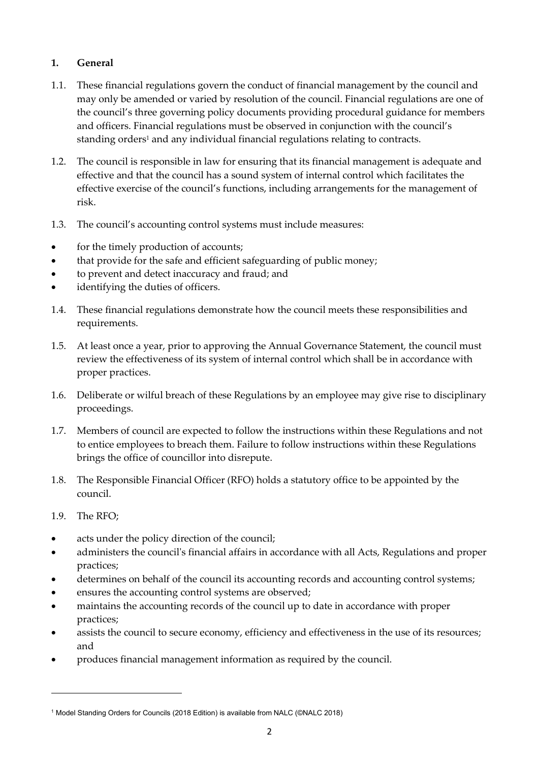## <span id="page-1-0"></span>**1. General**

- 1.1. These financial regulations govern the conduct of financial management by the council and may only be amended or varied by resolution of the council. Financial regulations are one of the council's three governing policy documents providing procedural guidance for members and officers. Financial regulations must be observed in conjunction with the council's standing orders<sup>1</sup> and any individual financial regulations relating to contracts.
- 1.2. The council is responsible in law for ensuring that its financial management is adequate and effective and that the council has a sound system of internal control which facilitates the effective exercise of the council's functions, including arrangements for the management of risk.
- 1.3. The council's accounting control systems must include measures:
- for the timely production of accounts;
- that provide for the safe and efficient safeguarding of public money;
- to prevent and detect inaccuracy and fraud; and
- identifying the duties of officers.
- 1.4. These financial regulations demonstrate how the council meets these responsibilities and requirements.
- 1.5. At least once a year, prior to approving the Annual Governance Statement, the council must review the effectiveness of its system of internal control which shall be in accordance with proper practices.
- 1.6. Deliberate or wilful breach of these Regulations by an employee may give rise to disciplinary proceedings.
- 1.7. Members of council are expected to follow the instructions within these Regulations and not to entice employees to breach them. Failure to follow instructions within these Regulations brings the office of councillor into disrepute.
- 1.8. The Responsible Financial Officer (RFO) holds a statutory office to be appointed by the council.
- 1.9. The RFO;
- acts under the policy direction of the council;
- administers the council's financial affairs in accordance with all Acts, Regulations and proper practices;
- determines on behalf of the council its accounting records and accounting control systems;
- ensures the accounting control systems are observed;
- maintains the accounting records of the council up to date in accordance with proper practices;
- assists the council to secure economy, efficiency and effectiveness in the use of its resources; and
- produces financial management information as required by the council.

<sup>1</sup> Model Standing Orders for Councils (2018 Edition) is available from NALC (©NALC 2018)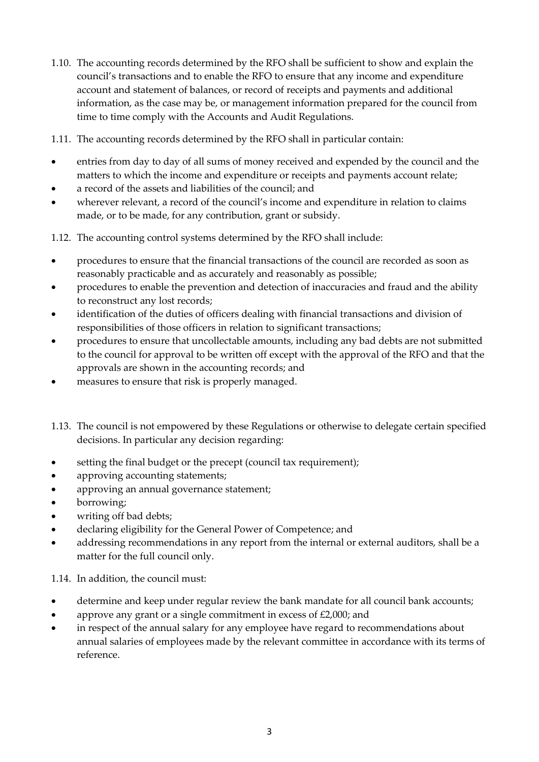- 1.10. The accounting records determined by the RFO shall be sufficient to show and explain the council's transactions and to enable the RFO to ensure that any income and expenditure account and statement of balances, or record of receipts and payments and additional information, as the case may be, or management information prepared for the council from time to time comply with the Accounts and Audit Regulations.
- 1.11. The accounting records determined by the RFO shall in particular contain:
- entries from day to day of all sums of money received and expended by the council and the matters to which the income and expenditure or receipts and payments account relate;
- a record of the assets and liabilities of the council; and
- wherever relevant, a record of the council's income and expenditure in relation to claims made, or to be made, for any contribution, grant or subsidy.
- 1.12. The accounting control systems determined by the RFO shall include:
- procedures to ensure that the financial transactions of the council are recorded as soon as reasonably practicable and as accurately and reasonably as possible;
- procedures to enable the prevention and detection of inaccuracies and fraud and the ability to reconstruct any lost records;
- identification of the duties of officers dealing with financial transactions and division of responsibilities of those officers in relation to significant transactions;
- procedures to ensure that uncollectable amounts, including any bad debts are not submitted to the council for approval to be written off except with the approval of the RFO and that the approvals are shown in the accounting records; and
- measures to ensure that risk is properly managed.
- 1.13. The council is not empowered by these Regulations or otherwise to delegate certain specified decisions. In particular any decision regarding:
- setting the final budget or the precept (council tax requirement);
- approving accounting statements;
- approving an annual governance statement;
- borrowing;
- writing off bad debts;
- declaring eligibility for the General Power of Competence; and
- addressing recommendations in any report from the internal or external auditors, shall be a matter for the full council only.

### 1.14. In addition, the council must:

- determine and keep under regular review the bank mandate for all council bank accounts;
- approve any grant or a single commitment in excess of £2,000; and
- in respect of the annual salary for any employee have regard to recommendations about annual salaries of employees made by the relevant committee in accordance with its terms of reference.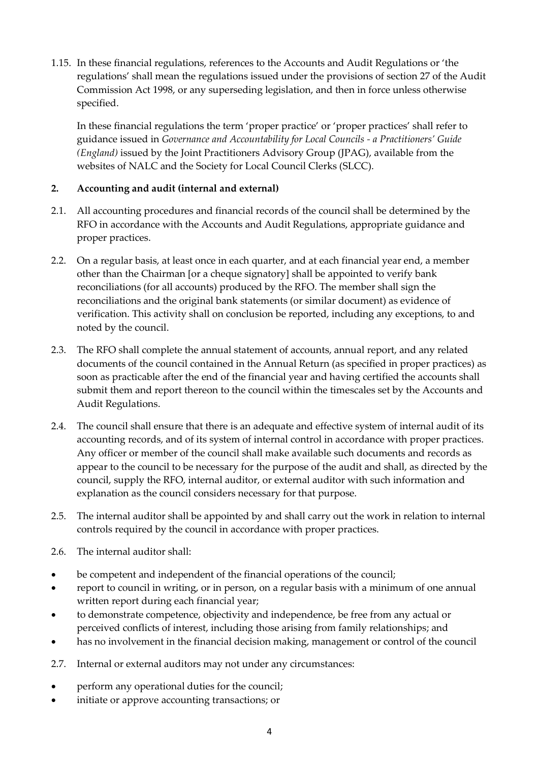1.15. In these financial regulations, references to the Accounts and Audit Regulations or 'the regulations' shall mean the regulations issued under the provisions of section 27 of the Audit Commission Act 1998, or any superseding legislation, and then in force unless otherwise specified.

In these financial regulations the term 'proper practice' or 'proper practices' shall refer to guidance issued in *Governance and Accountability for Local Councils - a Practitioners' Guide (England)* issued by the Joint Practitioners Advisory Group (JPAG), available from the websites of NALC and the Society for Local Council Clerks (SLCC).

## <span id="page-3-0"></span>**2. Accounting and audit (internal and external)**

- 2.1. All accounting procedures and financial records of the council shall be determined by the RFO in accordance with the Accounts and Audit Regulations, appropriate guidance and proper practices.
- 2.2. On a regular basis, at least once in each quarter, and at each financial year end, a member other than the Chairman [or a cheque signatory] shall be appointed to verify bank reconciliations (for all accounts) produced by the RFO. The member shall sign the reconciliations and the original bank statements (or similar document) as evidence of verification. This activity shall on conclusion be reported, including any exceptions, to and noted by the council.
- 2.3. The RFO shall complete the annual statement of accounts, annual report, and any related documents of the council contained in the Annual Return (as specified in proper practices) as soon as practicable after the end of the financial year and having certified the accounts shall submit them and report thereon to the council within the timescales set by the Accounts and Audit Regulations.
- 2.4. The council shall ensure that there is an adequate and effective system of internal audit of its accounting records, and of its system of internal control in accordance with proper practices. Any officer or member of the council shall make available such documents and records as appear to the council to be necessary for the purpose of the audit and shall, as directed by the council, supply the RFO, internal auditor, or external auditor with such information and explanation as the council considers necessary for that purpose.
- 2.5. The internal auditor shall be appointed by and shall carry out the work in relation to internal controls required by the council in accordance with proper practices.
- 2.6. The internal auditor shall:
- be competent and independent of the financial operations of the council;
- report to council in writing, or in person, on a regular basis with a minimum of one annual written report during each financial year;
- to demonstrate competence, objectivity and independence, be free from any actual or perceived conflicts of interest, including those arising from family relationships; and
- has no involvement in the financial decision making, management or control of the council
- 2.7. Internal or external auditors may not under any circumstances:
- perform any operational duties for the council;
- initiate or approve accounting transactions; or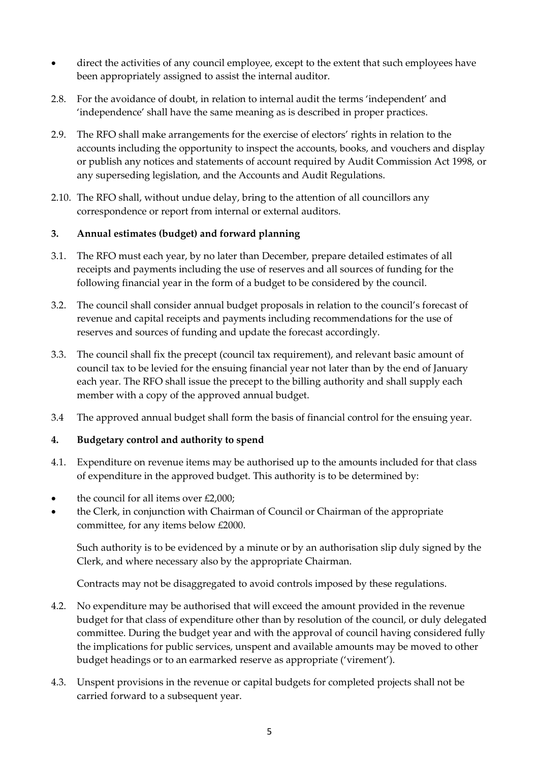- direct the activities of any council employee, except to the extent that such employees have been appropriately assigned to assist the internal auditor.
- 2.8. For the avoidance of doubt, in relation to internal audit the terms 'independent' and 'independence' shall have the same meaning as is described in proper practices.
- 2.9. The RFO shall make arrangements for the exercise of electors' rights in relation to the accounts including the opportunity to inspect the accounts, books, and vouchers and display or publish any notices and statements of account required by Audit Commission Act 1998, or any superseding legislation, and the Accounts and Audit Regulations.
- 2.10. The RFO shall, without undue delay, bring to the attention of all councillors any correspondence or report from internal or external auditors.

## <span id="page-4-0"></span>**3. Annual estimates (budget) and forward planning**

- 3.1. The RFO must each year, by no later than December, prepare detailed estimates of all receipts and payments including the use of reserves and all sources of funding for the following financial year in the form of a budget to be considered by the council.
- 3.2. The council shall consider annual budget proposals in relation to the council's forecast of revenue and capital receipts and payments including recommendations for the use of reserves and sources of funding and update the forecast accordingly.
- 3.3. The council shall fix the precept (council tax requirement), and relevant basic amount of council tax to be levied for the ensuing financial year not later than by the end of January each year. The RFO shall issue the precept to the billing authority and shall supply each member with a copy of the approved annual budget.
- 3.4 The approved annual budget shall form the basis of financial control for the ensuing year.

## <span id="page-4-1"></span>**4. Budgetary control and authority to spend**

- 4.1. Expenditure on revenue items may be authorised up to the amounts included for that class of expenditure in the approved budget. This authority is to be determined by:
- the council for all items over  $£2,000;$
- the Clerk, in conjunction with Chairman of Council or Chairman of the appropriate committee, for any items below £2000.

Such authority is to be evidenced by a minute or by an authorisation slip duly signed by the Clerk, and where necessary also by the appropriate Chairman.

Contracts may not be disaggregated to avoid controls imposed by these regulations.

- 4.2. No expenditure may be authorised that will exceed the amount provided in the revenue budget for that class of expenditure other than by resolution of the council, or duly delegated committee. During the budget year and with the approval of council having considered fully the implications for public services, unspent and available amounts may be moved to other budget headings or to an earmarked reserve as appropriate ('virement').
- 4.3. Unspent provisions in the revenue or capital budgets for completed projects shall not be carried forward to a subsequent year.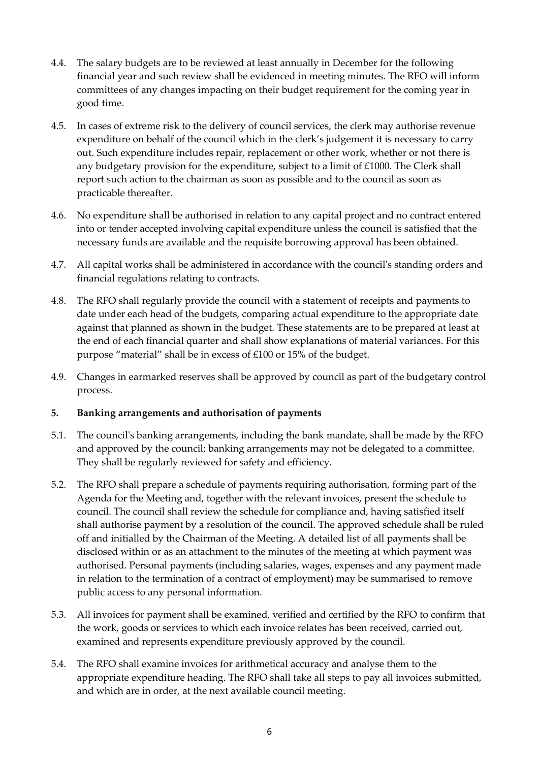- 4.4. The salary budgets are to be reviewed at least annually in December for the following financial year and such review shall be evidenced in meeting minutes. The RFO will inform committees of any changes impacting on their budget requirement for the coming year in good time.
- 4.5. In cases of extreme risk to the delivery of council services, the clerk may authorise revenue expenditure on behalf of the council which in the clerk's judgement it is necessary to carry out. Such expenditure includes repair, replacement or other work, whether or not there is any budgetary provision for the expenditure, subject to a limit of £1000. The Clerk shall report such action to the chairman as soon as possible and to the council as soon as practicable thereafter.
- 4.6. No expenditure shall be authorised in relation to any capital project and no contract entered into or tender accepted involving capital expenditure unless the council is satisfied that the necessary funds are available and the requisite borrowing approval has been obtained.
- 4.7. All capital works shall be administered in accordance with the council's standing orders and financial regulations relating to contracts.
- 4.8. The RFO shall regularly provide the council with a statement of receipts and payments to date under each head of the budgets, comparing actual expenditure to the appropriate date against that planned as shown in the budget. These statements are to be prepared at least at the end of each financial quarter and shall show explanations of material variances. For this purpose "material" shall be in excess of £100 or 15% of the budget.
- 4.9. Changes in earmarked reserves shall be approved by council as part of the budgetary control process.

## <span id="page-5-0"></span>**5. Banking arrangements and authorisation of payments**

- 5.1. The council's banking arrangements, including the bank mandate, shall be made by the RFO and approved by the council; banking arrangements may not be delegated to a committee. They shall be regularly reviewed for safety and efficiency.
- 5.2. The RFO shall prepare a schedule of payments requiring authorisation, forming part of the Agenda for the Meeting and, together with the relevant invoices, present the schedule to council. The council shall review the schedule for compliance and, having satisfied itself shall authorise payment by a resolution of the council. The approved schedule shall be ruled off and initialled by the Chairman of the Meeting. A detailed list of all payments shall be disclosed within or as an attachment to the minutes of the meeting at which payment was authorised. Personal payments (including salaries, wages, expenses and any payment made in relation to the termination of a contract of employment) may be summarised to remove public access to any personal information.
- 5.3. All invoices for payment shall be examined, verified and certified by the RFO to confirm that the work, goods or services to which each invoice relates has been received, carried out, examined and represents expenditure previously approved by the council.
- 5.4. The RFO shall examine invoices for arithmetical accuracy and analyse them to the appropriate expenditure heading. The RFO shall take all steps to pay all invoices submitted, and which are in order, at the next available council meeting.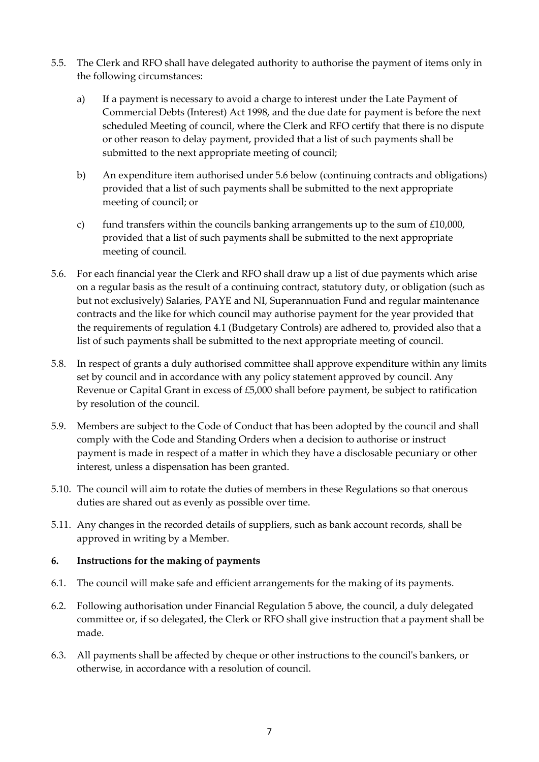- 5.5. The Clerk and RFO shall have delegated authority to authorise the payment of items only in the following circumstances:
	- a) If a payment is necessary to avoid a charge to interest under the Late Payment of Commercial Debts (Interest) Act 1998, and the due date for payment is before the next scheduled Meeting of council, where the Clerk and RFO certify that there is no dispute or other reason to delay payment, provided that a list of such payments shall be submitted to the next appropriate meeting of council;
	- b) An expenditure item authorised under 5.6 below (continuing contracts and obligations) provided that a list of such payments shall be submitted to the next appropriate meeting of council; or
	- c) fund transfers within the councils banking arrangements up to the sum of  $£10,000$ , provided that a list of such payments shall be submitted to the next appropriate meeting of council.
- 5.6. For each financial year the Clerk and RFO shall draw up a list of due payments which arise on a regular basis as the result of a continuing contract, statutory duty, or obligation (such as but not exclusively) Salaries, PAYE and NI, Superannuation Fund and regular maintenance contracts and the like for which council may authorise payment for the year provided that the requirements of regulation 4.1 (Budgetary Controls) are adhered to, provided also that a list of such payments shall be submitted to the next appropriate meeting of council.
- 5.8. In respect of grants a duly authorised committee shall approve expenditure within any limits set by council and in accordance with any policy statement approved by council. Any Revenue or Capital Grant in excess of £5,000 shall before payment, be subject to ratification by resolution of the council.
- 5.9. Members are subject to the Code of Conduct that has been adopted by the council and shall comply with the Code and Standing Orders when a decision to authorise or instruct payment is made in respect of a matter in which they have a disclosable pecuniary or other interest, unless a dispensation has been granted.
- 5.10. The council will aim to rotate the duties of members in these Regulations so that onerous duties are shared out as evenly as possible over time.
- 5.11. Any changes in the recorded details of suppliers, such as bank account records, shall be approved in writing by a Member.

## <span id="page-6-0"></span>**6. Instructions for the making of payments**

- 6.1. The council will make safe and efficient arrangements for the making of its payments.
- 6.2. Following authorisation under Financial Regulation 5 above, the council, a duly delegated committee or, if so delegated, the Clerk or RFO shall give instruction that a payment shall be made.
- 6.3. All payments shall be affected by cheque or other instructions to the council's bankers, or otherwise, in accordance with a resolution of council.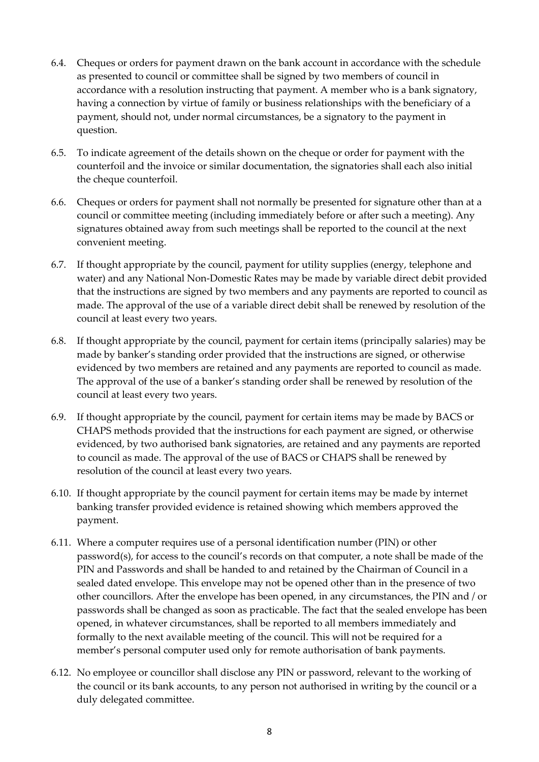- 6.4. Cheques or orders for payment drawn on the bank account in accordance with the schedule as presented to council or committee shall be signed by two members of council in accordance with a resolution instructing that payment. A member who is a bank signatory, having a connection by virtue of family or business relationships with the beneficiary of a payment, should not, under normal circumstances, be a signatory to the payment in question.
- 6.5. To indicate agreement of the details shown on the cheque or order for payment with the counterfoil and the invoice or similar documentation, the signatories shall each also initial the cheque counterfoil.
- 6.6. Cheques or orders for payment shall not normally be presented for signature other than at a council or committee meeting (including immediately before or after such a meeting). Any signatures obtained away from such meetings shall be reported to the council at the next convenient meeting.
- 6.7. If thought appropriate by the council, payment for utility supplies (energy, telephone and water) and any National Non-Domestic Rates may be made by variable direct debit provided that the instructions are signed by two members and any payments are reported to council as made. The approval of the use of a variable direct debit shall be renewed by resolution of the council at least every two years.
- 6.8. If thought appropriate by the council, payment for certain items (principally salaries) may be made by banker's standing order provided that the instructions are signed, or otherwise evidenced by two members are retained and any payments are reported to council as made. The approval of the use of a banker's standing order shall be renewed by resolution of the council at least every two years.
- 6.9. If thought appropriate by the council, payment for certain items may be made by BACS or CHAPS methods provided that the instructions for each payment are signed, or otherwise evidenced, by two authorised bank signatories, are retained and any payments are reported to council as made. The approval of the use of BACS or CHAPS shall be renewed by resolution of the council at least every two years.
- 6.10. If thought appropriate by the council payment for certain items may be made by internet banking transfer provided evidence is retained showing which members approved the payment.
- 6.11. Where a computer requires use of a personal identification number (PIN) or other password(s), for access to the council's records on that computer, a note shall be made of the PIN and Passwords and shall be handed to and retained by the Chairman of Council in a sealed dated envelope. This envelope may not be opened other than in the presence of two other councillors. After the envelope has been opened, in any circumstances, the PIN and / or passwords shall be changed as soon as practicable. The fact that the sealed envelope has been opened, in whatever circumstances, shall be reported to all members immediately and formally to the next available meeting of the council. This will not be required for a member's personal computer used only for remote authorisation of bank payments.
- 6.12. No employee or councillor shall disclose any PIN or password, relevant to the working of the council or its bank accounts, to any person not authorised in writing by the council or a duly delegated committee.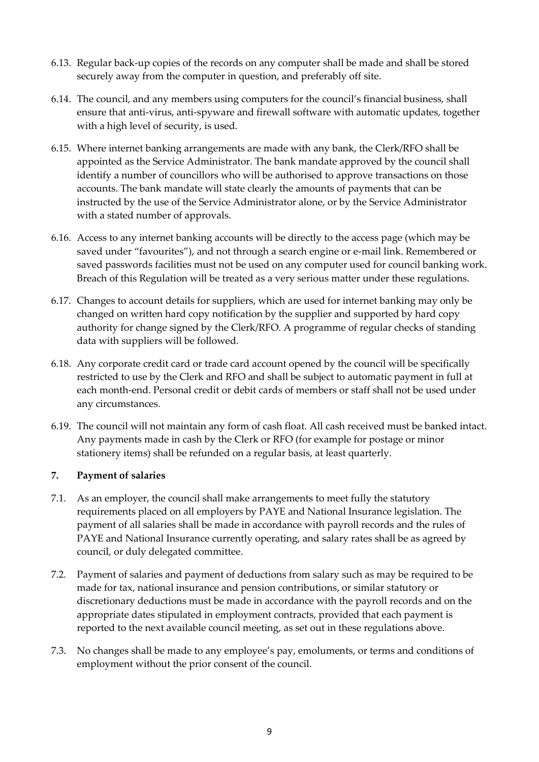- 6.13. Regular back-up copies of the records on any computer shall be made and shall be stored securely away from the computer in question, and preferably off site.
- 6.14. The council, and any members using computers for the council's financial business, shall ensure that anti-virus, anti-spyware and firewall software with automatic updates, together with a high level of security, is used.
- 6.15. Where internet banking arrangements are made with any bank, the Clerk/RFO shall be appointed as the Service Administrator. The bank mandate approved by the council shall identify a number of councillors who will be authorised to approve transactions on those accounts. The bank mandate will state clearly the amounts of payments that can be instructed by the use of the Service Administrator alone, or by the Service Administrator with a stated number of approvals.
- 6.16. Access to any internet banking accounts will be directly to the access page (which may be saved under "favourites"), and not through a search engine or e-mail link. Remembered or saved passwords facilities must not be used on any computer used for council banking work. Breach of this Regulation will be treated as a very serious matter under these regulations.
- 6.17. Changes to account details for suppliers, which are used for internet banking may only be changed on written hard copy notification by the supplier and supported by hard copy authority for change signed by the Clerk/RFO. A programme of regular checks of standing data with suppliers will be followed.
- 6.18. Any corporate credit card or trade card account opened by the council will be specifically restricted to use by the Clerk and RFO and shall be subject to automatic payment in full at each month-end. Personal credit or debit cards of members or staff shall not be used under any circumstances.
- 6.19. The council will not maintain any form of cash float. All cash received must be banked intact. Any payments made in cash by the Clerk or RFO (for example for postage or minor stationery items) shall be refunded on a regular basis, at least quarterly.

## <span id="page-8-0"></span>**7. Payment of salaries**

- 7.1. As an employer, the council shall make arrangements to meet fully the statutory requirements placed on all employers by PAYE and National Insurance legislation. The payment of all salaries shall be made in accordance with payroll records and the rules of PAYE and National Insurance currently operating, and salary rates shall be as agreed by council, or duly delegated committee.
- 7.2. Payment of salaries and payment of deductions from salary such as may be required to be made for tax, national insurance and pension contributions, or similar statutory or discretionary deductions must be made in accordance with the payroll records and on the appropriate dates stipulated in employment contracts, provided that each payment is reported to the next available council meeting, as set out in these regulations above.
- 7.3. No changes shall be made to any employee's pay, emoluments, or terms and conditions of employment without the prior consent of the council.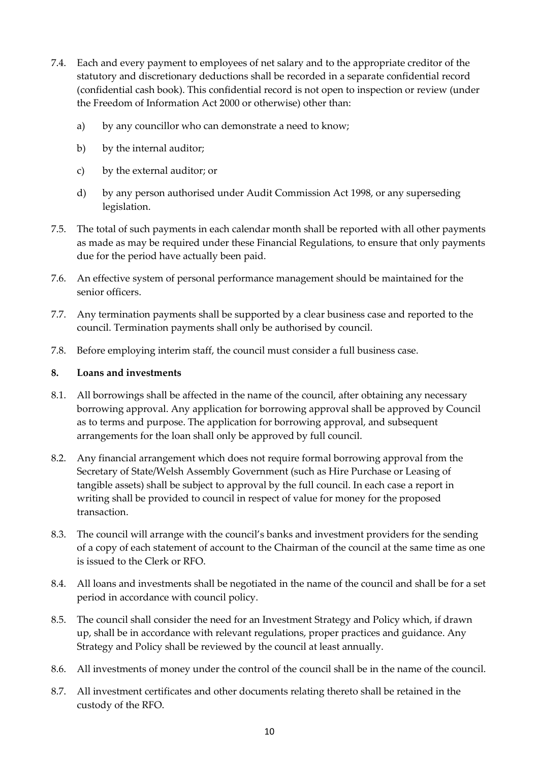- 7.4. Each and every payment to employees of net salary and to the appropriate creditor of the statutory and discretionary deductions shall be recorded in a separate confidential record (confidential cash book). This confidential record is not open to inspection or review (under the Freedom of Information Act 2000 or otherwise) other than:
	- a) by any councillor who can demonstrate a need to know;
	- b) by the internal auditor;
	- c) by the external auditor; or
	- d) by any person authorised under Audit Commission Act 1998, or any superseding legislation.
- 7.5. The total of such payments in each calendar month shall be reported with all other payments as made as may be required under these Financial Regulations, to ensure that only payments due for the period have actually been paid.
- 7.6. An effective system of personal performance management should be maintained for the senior officers.
- 7.7. Any termination payments shall be supported by a clear business case and reported to the council. Termination payments shall only be authorised by council.
- 7.8. Before employing interim staff, the council must consider a full business case.

#### <span id="page-9-0"></span>**8. Loans and investments**

- 8.1. All borrowings shall be affected in the name of the council, after obtaining any necessary borrowing approval. Any application for borrowing approval shall be approved by Council as to terms and purpose. The application for borrowing approval, and subsequent arrangements for the loan shall only be approved by full council.
- 8.2. Any financial arrangement which does not require formal borrowing approval from the Secretary of State/Welsh Assembly Government (such as Hire Purchase or Leasing of tangible assets) shall be subject to approval by the full council. In each case a report in writing shall be provided to council in respect of value for money for the proposed transaction.
- 8.3. The council will arrange with the council's banks and investment providers for the sending of a copy of each statement of account to the Chairman of the council at the same time as one is issued to the Clerk or RFO.
- 8.4. All loans and investments shall be negotiated in the name of the council and shall be for a set period in accordance with council policy.
- 8.5. The council shall consider the need for an Investment Strategy and Policy which, if drawn up, shall be in accordance with relevant regulations, proper practices and guidance. Any Strategy and Policy shall be reviewed by the council at least annually.
- 8.6. All investments of money under the control of the council shall be in the name of the council.
- 8.7. All investment certificates and other documents relating thereto shall be retained in the custody of the RFO.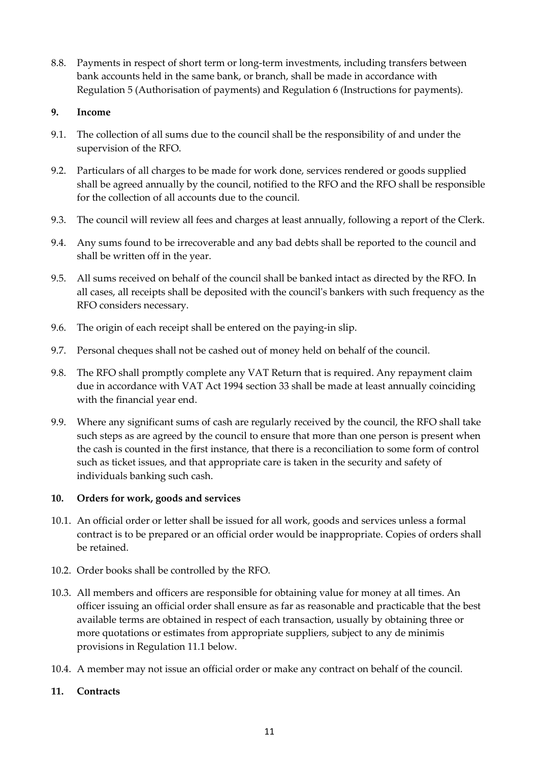8.8. Payments in respect of short term or long-term investments, including transfers between bank accounts held in the same bank, or branch, shall be made in accordance with Regulation 5 (Authorisation of payments) and Regulation 6 (Instructions for payments).

## <span id="page-10-0"></span>**9. Income**

- 9.1. The collection of all sums due to the council shall be the responsibility of and under the supervision of the RFO.
- 9.2. Particulars of all charges to be made for work done, services rendered or goods supplied shall be agreed annually by the council, notified to the RFO and the RFO shall be responsible for the collection of all accounts due to the council.
- 9.3. The council will review all fees and charges at least annually, following a report of the Clerk.
- 9.4. Any sums found to be irrecoverable and any bad debts shall be reported to the council and shall be written off in the year.
- 9.5. All sums received on behalf of the council shall be banked intact as directed by the RFO. In all cases, all receipts shall be deposited with the council's bankers with such frequency as the RFO considers necessary.
- 9.6. The origin of each receipt shall be entered on the paying-in slip.
- 9.7. Personal cheques shall not be cashed out of money held on behalf of the council.
- 9.8. The RFO shall promptly complete any VAT Return that is required. Any repayment claim due in accordance with VAT Act 1994 section 33 shall be made at least annually coinciding with the financial year end.
- 9.9. Where any significant sums of cash are regularly received by the council, the RFO shall take such steps as are agreed by the council to ensure that more than one person is present when the cash is counted in the first instance, that there is a reconciliation to some form of control such as ticket issues, and that appropriate care is taken in the security and safety of individuals banking such cash.

#### <span id="page-10-1"></span>**10. Orders for work, goods and services**

- 10.1. An official order or letter shall be issued for all work, goods and services unless a formal contract is to be prepared or an official order would be inappropriate. Copies of orders shall be retained.
- 10.2. Order books shall be controlled by the RFO.
- 10.3. All members and officers are responsible for obtaining value for money at all times. An officer issuing an official order shall ensure as far as reasonable and practicable that the best available terms are obtained in respect of each transaction, usually by obtaining three or more quotations or estimates from appropriate suppliers, subject to any de minimis provisions in Regulation 11.1 below.
- 10.4. A member may not issue an official order or make any contract on behalf of the council.

## <span id="page-10-2"></span>**11. Contracts**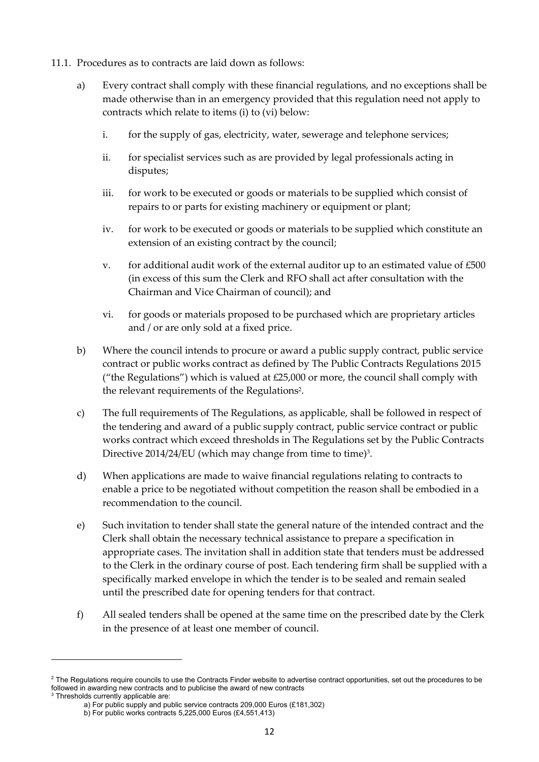- 11.1. Procedures as to contracts are laid down as follows:
	- a) Every contract shall comply with these financial regulations, and no exceptions shall be made otherwise than in an emergency provided that this regulation need not apply to contracts which relate to items (i) to (vi) below:
		- i. for the supply of gas, electricity, water, sewerage and telephone services;
		- ii. for specialist services such as are provided by legal professionals acting in disputes;
		- iii. for work to be executed or goods or materials to be supplied which consist of repairs to or parts for existing machinery or equipment or plant;
		- iv. for work to be executed or goods or materials to be supplied which constitute an extension of an existing contract by the council;
		- v. for additional audit work of the external auditor up to an estimated value of  $£500$ (in excess of this sum the Clerk and RFO shall act after consultation with the Chairman and Vice Chairman of council); and
		- vi. for goods or materials proposed to be purchased which are proprietary articles and / or are only sold at a fixed price.
	- b) Where the council intends to procure or award a public supply contract, public service contract or public works contract as defined by The Public Contracts Regulations 2015 ("the Regulations") which is valued at  $£25,000$  or more, the council shall comply with the relevant requirements of the Regulations<sup>2</sup>.
	- c) The full requirements of The Regulations, as applicable, shall be followed in respect of the tendering and award of a public supply contract, public service contract or public works contract which exceed thresholds in The Regulations set by the Public Contracts Directive 2014/24/EU (which may change from time to time)<sup>3</sup>.
	- d) When applications are made to waive financial regulations relating to contracts to enable a price to be negotiated without competition the reason shall be embodied in a recommendation to the council.
	- e) Such invitation to tender shall state the general nature of the intended contract and the Clerk shall obtain the necessary technical assistance to prepare a specification in appropriate cases. The invitation shall in addition state that tenders must be addressed to the Clerk in the ordinary course of post. Each tendering firm shall be supplied with a specifically marked envelope in which the tender is to be sealed and remain sealed until the prescribed date for opening tenders for that contract.
	- f) All sealed tenders shall be opened at the same time on the prescribed date by the Clerk in the presence of at least one member of council.

<sup>&</sup>lt;sup>2</sup> The Regulations require councils to use the Contracts Finder website to advertise contract opportunities, set out the procedures to be followed in awarding new contracts and to publicise the award of new contracts <sup>3</sup> Thresholds currently applicable are:

a) For public supply and public service contracts 209,000 Euros (£181,302)

b) For public works contracts 5,225,000 Euros (£4,551,413)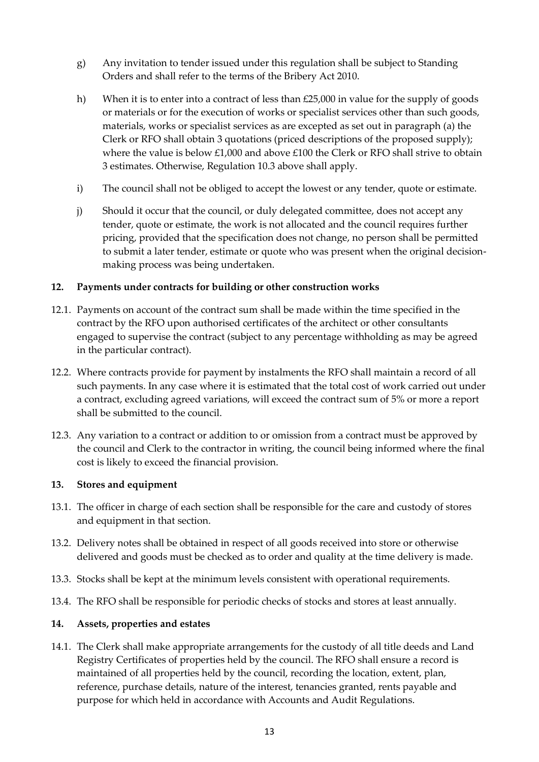- g) Any invitation to tender issued under this regulation shall be subject to Standing Orders and shall refer to the terms of the Bribery Act 2010.
- h) When it is to enter into a contract of less than  $£25,000$  in value for the supply of goods or materials or for the execution of works or specialist services other than such goods, materials, works or specialist services as are excepted as set out in paragraph (a) the Clerk or RFO shall obtain 3 quotations (priced descriptions of the proposed supply); where the value is below £1,000 and above £100 the Clerk or RFO shall strive to obtain 3 estimates. Otherwise, Regulation 10.3 above shall apply.
- i) The council shall not be obliged to accept the lowest or any tender, quote or estimate.
- j) Should it occur that the council, or duly delegated committee, does not accept any tender, quote or estimate, the work is not allocated and the council requires further pricing, provided that the specification does not change, no person shall be permitted to submit a later tender, estimate or quote who was present when the original decisionmaking process was being undertaken.

## <span id="page-12-0"></span>**12. Payments under contracts for building or other construction works**

- 12.1. Payments on account of the contract sum shall be made within the time specified in the contract by the RFO upon authorised certificates of the architect or other consultants engaged to supervise the contract (subject to any percentage withholding as may be agreed in the particular contract).
- 12.2. Where contracts provide for payment by instalments the RFO shall maintain a record of all such payments. In any case where it is estimated that the total cost of work carried out under a contract, excluding agreed variations, will exceed the contract sum of 5% or more a report shall be submitted to the council.
- 12.3. Any variation to a contract or addition to or omission from a contract must be approved by the council and Clerk to the contractor in writing, the council being informed where the final cost is likely to exceed the financial provision.

#### <span id="page-12-1"></span>**13. Stores and equipment**

- 13.1. The officer in charge of each section shall be responsible for the care and custody of stores and equipment in that section.
- 13.2. Delivery notes shall be obtained in respect of all goods received into store or otherwise delivered and goods must be checked as to order and quality at the time delivery is made.
- 13.3. Stocks shall be kept at the minimum levels consistent with operational requirements.
- 13.4. The RFO shall be responsible for periodic checks of stocks and stores at least annually.

#### <span id="page-12-2"></span>**14. Assets, properties and estates**

14.1. The Clerk shall make appropriate arrangements for the custody of all title deeds and Land Registry Certificates of properties held by the council. The RFO shall ensure a record is maintained of all properties held by the council, recording the location, extent, plan, reference, purchase details, nature of the interest, tenancies granted, rents payable and purpose for which held in accordance with Accounts and Audit Regulations.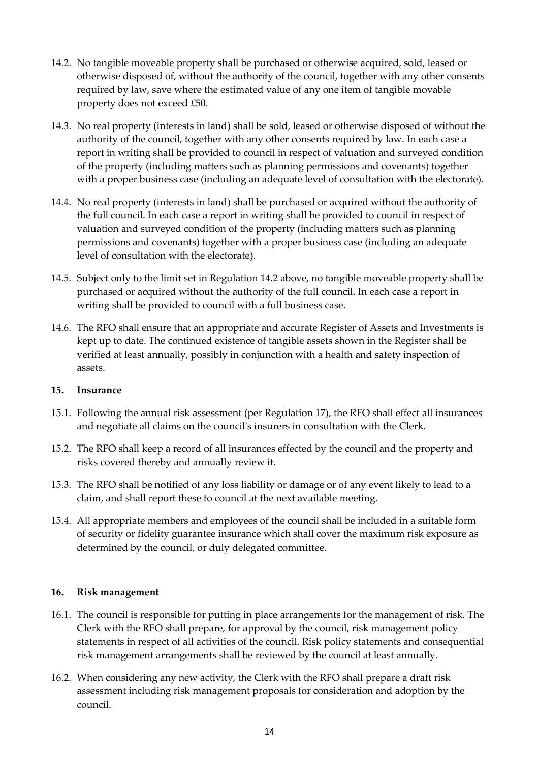- 14.2. No tangible moveable property shall be purchased or otherwise acquired, sold, leased or otherwise disposed of, without the authority of the council, together with any other consents required by law, save where the estimated value of any one item of tangible movable property does not exceed £50.
- 14.3. No real property (interests in land) shall be sold, leased or otherwise disposed of without the authority of the council, together with any other consents required by law. In each case a report in writing shall be provided to council in respect of valuation and surveyed condition of the property (including matters such as planning permissions and covenants) together with a proper business case (including an adequate level of consultation with the electorate).
- 14.4. No real property (interests in land) shall be purchased or acquired without the authority of the full council. In each case a report in writing shall be provided to council in respect of valuation and surveyed condition of the property (including matters such as planning permissions and covenants) together with a proper business case (including an adequate level of consultation with the electorate).
- 14.5. Subject only to the limit set in Regulation 14.2 above, no tangible moveable property shall be purchased or acquired without the authority of the full council. In each case a report in writing shall be provided to council with a full business case.
- 14.6. The RFO shall ensure that an appropriate and accurate Register of Assets and Investments is kept up to date. The continued existence of tangible assets shown in the Register shall be verified at least annually, possibly in conjunction with a health and safety inspection of assets.

## <span id="page-13-0"></span>**15. Insurance**

- 15.1. Following the annual risk assessment (per Regulation 17), the RFO shall effect all insurances and negotiate all claims on the council's insurers in consultation with the Clerk.
- 15.2. The RFO shall keep a record of all insurances effected by the council and the property and risks covered thereby and annually review it.
- 15.3. The RFO shall be notified of any loss liability or damage or of any event likely to lead to a claim, and shall report these to council at the next available meeting.
- 15.4. All appropriate members and employees of the council shall be included in a suitable form of security or fidelity guarantee insurance which shall cover the maximum risk exposure as determined by the council, or duly delegated committee.

## <span id="page-13-1"></span>**16. Risk management**

- 16.1. The council is responsible for putting in place arrangements for the management of risk. The Clerk with the RFO shall prepare, for approval by the council, risk management policy statements in respect of all activities of the council. Risk policy statements and consequential risk management arrangements shall be reviewed by the council at least annually.
- 16.2. When considering any new activity, the Clerk with the RFO shall prepare a draft risk assessment including risk management proposals for consideration and adoption by the council.